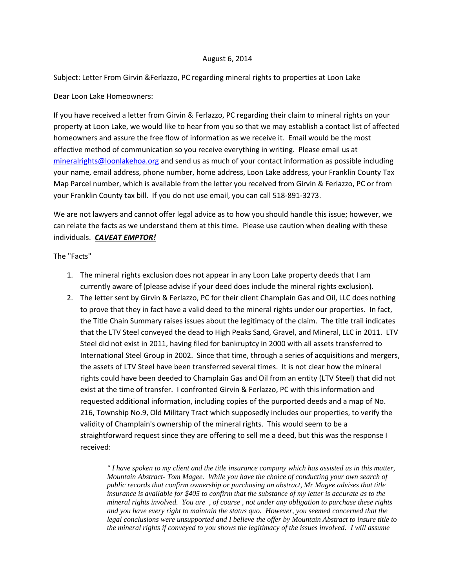## August 6, 2014

Subject: Letter From Girvin &Ferlazzo, PC regarding mineral rights to properties at Loon Lake

## Dear Loon Lake Homeowners:

If you have received a letter from Girvin & Ferlazzo, PC regarding their claim to mineral rights on your property at Loon Lake, we would like to hear from you so that we may establish a contact list of affected homeowners and assure the free flow of information as we receive it. Email would be the most effective method of communication so you receive everything in writing. Please email us at [mineralrights@loonlakehoa.org](mailto:mineralrights@loonlakehoa.org) and send us as much of your contact information as possible including your name, email address, phone number, home address, Loon Lake address, your Franklin County Tax Map Parcel number, which is available from the letter you received from Girvin & Ferlazzo, PC or from your Franklin County tax bill. If you do not use email, you can call 518-891-3273.

We are not lawyers and cannot offer legal advice as to how you should handle this issue; however, we can relate the facts as we understand them at this time. Please use caution when dealing with these individuals. *CAVEAT EMPTOR!*

## The "Facts"

- 1. The mineral rights exclusion does not appear in any Loon Lake property deeds that I am currently aware of (please advise if your deed does include the mineral rights exclusion).
- 2. The letter sent by Girvin & Ferlazzo, PC for their client Champlain Gas and Oil, LLC does nothing to prove that they in fact have a valid deed to the mineral rights under our properties. In fact, the Title Chain Summary raises issues about the legitimacy of the claim. The title trail indicates that the LTV Steel conveyed the dead to High Peaks Sand, Gravel, and Mineral, LLC in 2011. LTV Steel did not exist in 2011, having filed for bankruptcy in 2000 with all assets transferred to International Steel Group in 2002. Since that time, through a series of acquisitions and mergers, the assets of LTV Steel have been transferred several times. It is not clear how the mineral rights could have been deeded to Champlain Gas and Oil from an entity (LTV Steel) that did not exist at the time of transfer. I confronted Girvin & Ferlazzo, PC with this information and requested additional information, including copies of the purported deeds and a map of No. 216, Township No.9, Old Military Tract which supposedly includes our properties, to verify the validity of Champlain's ownership of the mineral rights. This would seem to be a straightforward request since they are offering to sell me a deed, but this was the response I received:

*" I have spoken to my client and the title insurance company which has assisted us in this matter, Mountain Abstract- Tom Magee. While you have the choice of conducting your own search of public records that confirm ownership or purchasing an abstract, Mr Magee advises that title insurance is available for \$405 to confirm that the substance of my letter is accurate as to the mineral rights involved. You are , of course , not under any obligation to purchase these rights and you have every right to maintain the status quo. However, you seemed concerned that the legal conclusions were unsupported and I believe the offer by Mountain Abstract to insure title to the mineral rights if conveyed to you shows the legitimacy of the issues involved. I will assume*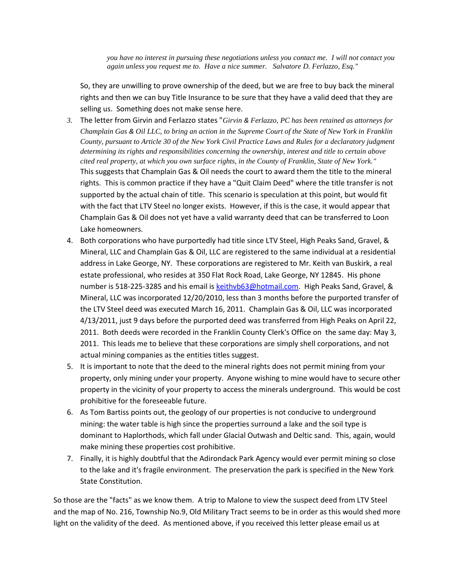*you have no interest in pursuing these negotiations unless you contact me. I will not contact you again unless you request me to. Have a nice summer. Salvatore D. Ferlazzo, Esq."*

So, they are unwilling to prove ownership of the deed, but we are free to buy back the mineral rights and then we can buy Title Insurance to be sure that they have a valid deed that they are selling us. Something does not make sense here.

- *3.* The letter from Girvin and Ferlazzo states "*Girvin & Ferlazzo, PC has been retained as attorneys for Champlain Gas & Oil LLC, to bring an action in the Supreme Court of the State of New York in Franklin County, pursuant to Article 30 of the New York Civil Practice Laws and Rules for a declaratory judgment determining its rights and responsibilities concerning the ownership, interest and title to certain above cited real property, at which you own surface rights, in the County of Franklin, State of New York."* This suggests that Champlain Gas & Oil needs the court to award them the title to the mineral rights. This is common practice if they have a "Quit Claim Deed" where the title transfer is not supported by the actual chain of title. This scenario is speculation at this point, but would fit with the fact that LTV Steel no longer exists. However, if this is the case, it would appear that Champlain Gas & Oil does not yet have a valid warranty deed that can be transferred to Loon Lake homeowners.
- 4. Both corporations who have purportedly had title since LTV Steel, High Peaks Sand, Gravel, & Mineral, LLC and Champlain Gas & Oil, LLC are registered to the same individual at a residential address in Lake George, NY. These corporations are registered to Mr. Keith van Buskirk, a real estate professional, who resides at 350 Flat Rock Road, Lake George, NY 12845. His phone number is 518-225-3285 and his email is [keithvb63@hotmail.com.](file:///C:/Users/LScott/Documents/So%20Inclined%20Web%20Design/Loon%20Lake/Updates/2014/keithvb63@hotmail.com) High Peaks Sand, Gravel, & Mineral, LLC was incorporated 12/20/2010, less than 3 months before the purported transfer of the LTV Steel deed was executed March 16, 2011. Champlain Gas & Oil, LLC was incorporated 4/13/2011, just 9 days before the purported deed was transferred from High Peaks on April 22, 2011. Both deeds were recorded in the Franklin County Clerk's Office on the same day: May 3, 2011. This leads me to believe that these corporations are simply shell corporations, and not actual mining companies as the entities titles suggest.
- 5. It is important to note that the deed to the mineral rights does not permit mining from your property, only mining under your property. Anyone wishing to mine would have to secure other property in the vicinity of your property to access the minerals underground. This would be cost prohibitive for the foreseeable future.
- 6. As Tom Bartiss points out, the geology of our properties is not conducive to underground mining: the water table is high since the properties surround a lake and the soil type is dominant to Haplorthods, which fall under Glacial Outwash and Deltic sand. This, again, would make mining these properties cost prohibitive.
- 7. Finally, it is highly doubtful that the Adirondack Park Agency would ever permit mining so close to the lake and it's fragile environment. The preservation the park is specified in the New York State Constitution.

So those are the "facts" as we know them. A trip to Malone to view the suspect deed from LTV Steel and the map of No. 216, Township No.9, Old Military Tract seems to be in order as this would shed more light on the validity of the deed. As mentioned above, if you received this letter please email us at